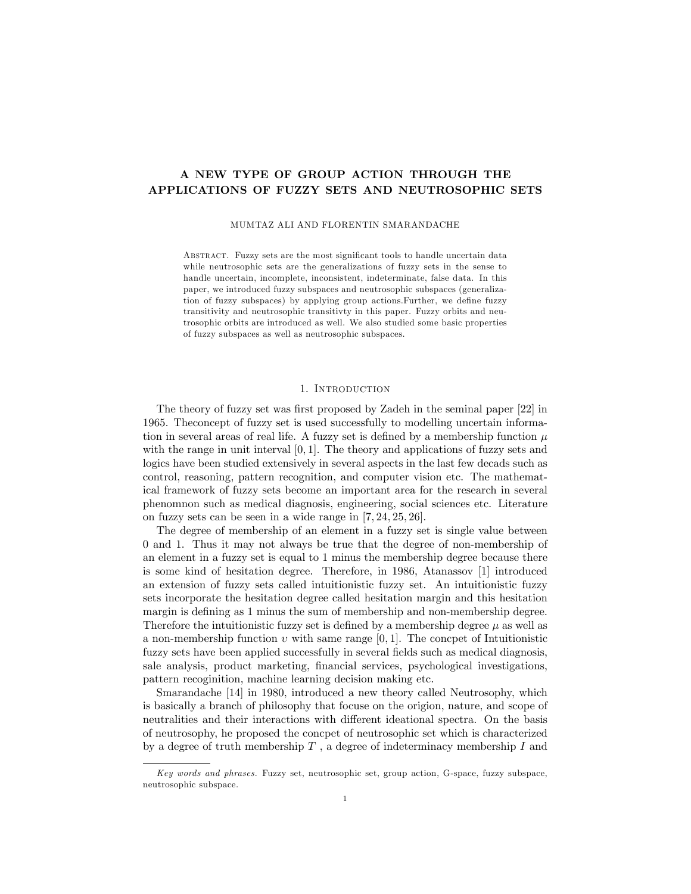# A NEW TYPE OF GROUP ACTION THROUGH THE APPLICATIONS OF FUZZY SETS AND NEUTROSOPHIC SETS

MUMTAZ ALI AND FLORENTIN SMARANDACHE

ABSTRACT. Fuzzy sets are the most significant tools to handle uncertain data while neutrosophic sets are the generalizations of fuzzy sets in the sense to handle uncertain, incomplete, inconsistent, indeterminate, false data. In this paper, we introduced fuzzy subspaces and neutrosophic subspaces (generalization of fuzzy subspaces) by applying group actions. Further, we define fuzzy transitivity and neutrosophic transitivty in this paper. Fuzzy orbits and neutrosophic orbits are introduced as well. We also studied some basic properties of fuzzy subspaces as well as neutrosophic subspaces.

#### 1. Introduction

The theory of fuzzy set was first proposed by Zadeh in the seminal paper [22] in 1965. Theconcept of fuzzy set is used successfully to modelling uncertain information in several areas of real life. A fuzzy set is defined by a membership function  $\mu$ with the range in unit interval  $[0, 1]$ . The theory and applications of fuzzy sets and logics have been studied extensively in several aspects in the last few decads such as control, reasoning, pattern recognition, and computer vision etc. The mathematical framework of fuzzy sets become an important area for the research in several phenomnon such as medical diagnosis, engineering, social sciences etc. Literature on fuzzy sets can be seen in a wide range in  $[7, 24, 25, 26]$ .

The degree of membership of an element in a fuzzy set is single value between 0 and 1. Thus it may not always be true that the degree of non-membership of an element in a fuzzy set is equal to 1 minus the membership degree because there is some kind of hesitation degree. Therefore, in 1986, Atanassov [1] introduced an extension of fuzzy sets called intuitionistic fuzzy set. An intuitionistic fuzzy sets incorporate the hesitation degree called hesitation margin and this hesitation margin is defining as 1 minus the sum of membership and non-membership degree. Therefore the intuitionistic fuzzy set is defined by a membership degree  $\mu$  as well as a non-membership function  $v$  with same range  $[0, 1]$ . The concpet of Intuitionistic fuzzy sets have been applied successfully in several fields such as medical diagnosis, sale analysis, product marketing, financial services, psychological investigations, pattern recoginition, machine learning decision making etc.

Smarandache [14] in 1980, introduced a new theory called Neutrosophy, which is basically a branch of philosophy that focuse on the origion, nature, and scope of neutralities and their interactions with different ideational spectra. On the basis of neutrosophy, he proposed the concpet of neutrosophic set which is characterized by a degree of truth membership  $T$ , a degree of indeterminacy membership  $I$  and

Key words and phrases. Fuzzy set, neutrosophic set, group action, G-space, fuzzy subspace, neutrosophic subspace.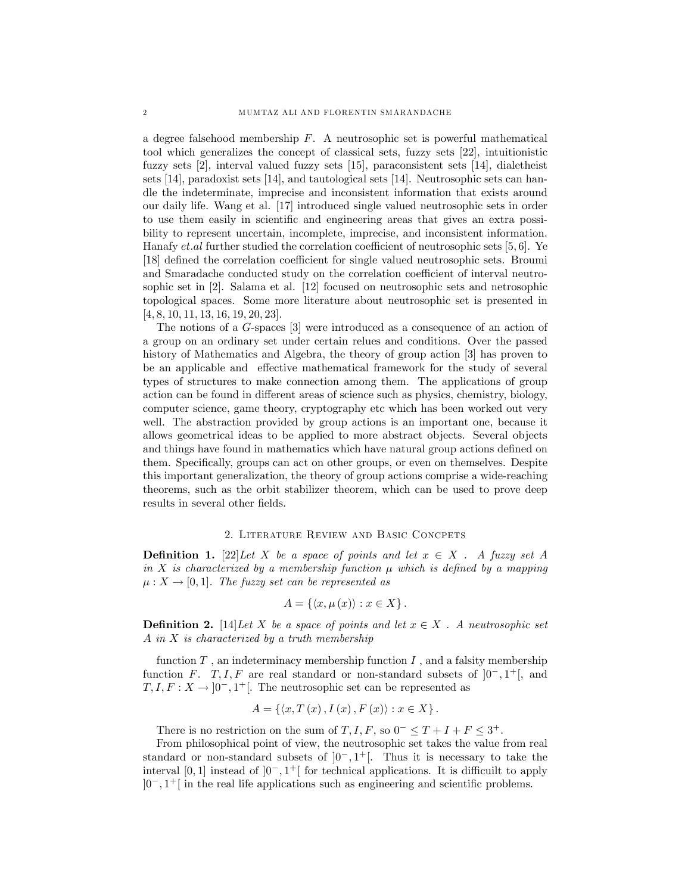a degree falsehood membership  $F$ . A neutrosophic set is powerful mathematical tool which generalizes the concept of classical sets, fuzzy sets [22], intuitionistic fuzzy sets [2], interval valued fuzzy sets [15], paraconsistent sets [14], dialetheist sets [14], paradoxist sets [14], and tautological sets [14]. Neutrosophic sets can handle the indeterminate, imprecise and inconsistent information that exists around our daily life. Wang et al. [17] introduced single valued neutrosophic sets in order to use them easily in scientific and engineering areas that gives an extra possibility to represent uncertain, incomplete, imprecise, and inconsistent information. Hanafy *et.al* further studied the correlation coefficient of neutrosophic sets [5, 6]. Ye [18] defined the correlation coefficient for single valued neutrosophic sets. Broumi and Smaradache conducted study on the correlation coefficient of interval neutrosophic set in [2]. Salama et al. [12] focused on neutrosophic sets and netrosophic topological spaces. Some more literature about neutrosophic set is presented in  $[4, 8, 10, 11, 13, 16, 19, 20, 23].$ 

The notions of a G-spaces [3] were introduced as a consequence of an action of a group on an ordinary set under certain relues and conditions. Over the passed history of Mathematics and Algebra, the theory of group action [3] has proven to be an applicable and effective mathematical framework for the study of several types of structures to make connection among them. The applications of group action can be found in different areas of science such as physics, chemistry, biology, computer science, game theory, cryptography etc which has been worked out very well. The abstraction provided by group actions is an important one, because it allows geometrical ideas to be applied to more abstract objects. Several objects and things have found in mathematics which have natural group actions defined on them. Specifically, groups can act on other groups, or even on themselves. Despite this important generalization, the theory of group actions comprise a wide-reaching theorems, such as the orbit stabilizer theorem, which can be used to prove deep results in several other fields.

## 2. Literature Review and Basic Concpets

**Definition 1.** [22] Let X be a space of points and let  $x \in X$ . A fuzzy set A in X is characterized by a membership function  $\mu$  which is defined by a mapping  $\mu: X \to [0, 1]$ . The fuzzy set can be represented as

$$
A = \{ \langle x, \mu(x) \rangle : x \in X \}.
$$

**Definition 2.** [14] Let X be a space of points and let  $x \in X$ . A neutrosophic set  $A$  in  $X$  is characterized by a truth membership

function  $T$ , an indeterminacy membership function  $I$ , and a falsity membership function F. T, I, F are real standard or non-standard subsets of  $]0^-, 1^+]$ , and  $T, I, F: X \to [0^-, 1^+]$ . The neutrosophic set can be represented as

$$
A = \{ \langle x, T(x), I(x), F(x) \rangle : x \in X \}.
$$

There is no restriction on the sum of  $T, I, F$ , so  $0^- \leq T + I + F \leq 3^+$ .

From philosophical point of view, the neutrosophic set takes the value from real standard or non-standard subsets of  $]0^-, 1^+[$ . Thus it is necessary to take the interval  $[0,1]$  instead of  $]0^-,1^+[$  for technical applications. It is difficuilt to apply  $]0^-, 1^+[$  in the real life applications such as engineering and scientific problems.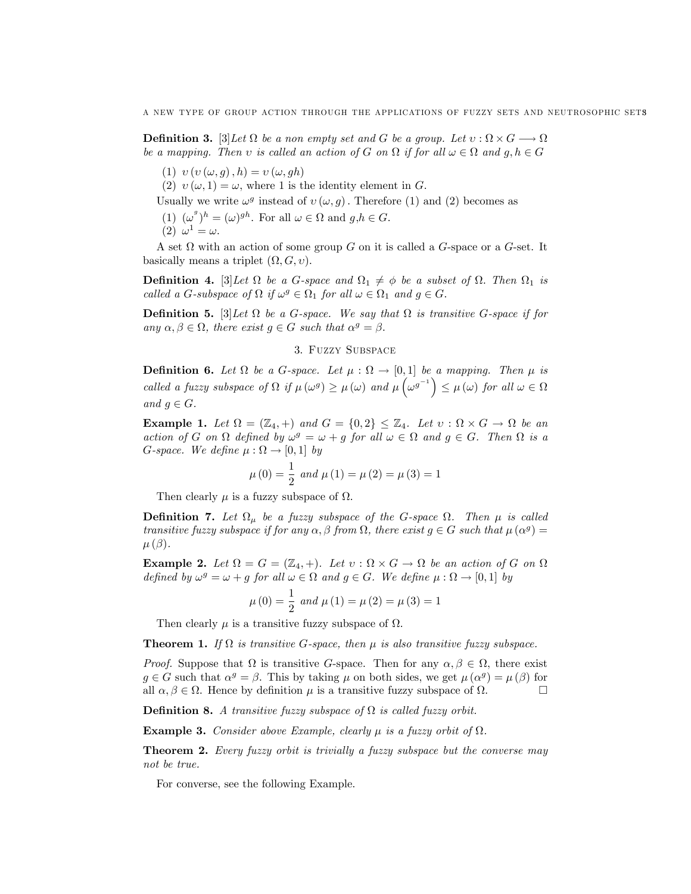**Definition 3.** [3] Let  $\Omega$  be a non empty set and G be a group. Let  $v : \Omega \times G \longrightarrow \Omega$ be a mapping. Then v is called an action of G on  $\Omega$  if for all  $\omega \in \Omega$  and  $g, h \in G$ 

(1)  $v (v (\omega, q), h) = v (\omega, gh)$ 

(2)  $v(\omega, 1) = \omega$ , where 1 is the identity element in G.

Usually we write  $\omega^g$  instead of  $v(\omega, g)$ . Therefore (1) and (2) becomes as

- (1)  $(\omega^g)^h = (\omega)^{gh}$ . For all  $\omega \in \Omega$  and  $g, h \in G$ .
- (2)  $\omega^1 = \omega$ .

A set  $\Omega$  with an action of some group G on it is called a G-space or a G-set. It basically means a triplet  $(\Omega, G, v)$ .

**Definition 4.** [3] Let  $\Omega$  be a G-space and  $\Omega_1 \neq \emptyset$  be a subset of  $\Omega$ . Then  $\Omega_1$  is called a G-subspace of  $\Omega$  if  $\omega^g \in \Omega_1$  for all  $\omega \in \Omega_1$  and  $g \in G$ .

**Definition 5.** [3] Let  $\Omega$  be a G-space. We say that  $\Omega$  is transitive G-space if for any  $\alpha, \beta \in \Omega$ , there exist  $g \in G$  such that  $\alpha^g = \beta$ .

#### 3. Fuzzy Subspace

**Definition 6.** Let  $\Omega$  be a G-space. Let  $\mu : \Omega \to [0,1]$  be a mapping. Then  $\mu$  is called a fuzzy subspace of  $\Omega$  if  $\mu(\omega^g) \ge \mu(\omega)$  and  $\mu(\omega^{g^{-1}}) \le \mu(\omega)$  for all  $\omega \in \Omega$ and  $g \in G$ .

**Example 1.** Let  $\Omega = (\mathbb{Z}_4, +)$  and  $G = \{0,2\} \leq \mathbb{Z}_4$ . Let  $v : \Omega \times G \to \Omega$  be an action of G on  $\Omega$  defined by  $\omega^g = \omega + g$  for all  $\omega \in \Omega$  and  $g \in G$ . Then  $\Omega$  is a G-space. We define  $\mu : \Omega \to [0,1]$  by

$$
\mu(0) = \frac{1}{2}
$$
 and  $\mu(1) = \mu(2) = \mu(3) = 1$ 

Then clearly  $\mu$  is a fuzzy subspace of  $\Omega$ .

**Definition 7.** Let  $\Omega_{\mu}$  be a fuzzy subspace of the G-space  $\Omega$ . Then  $\mu$  is called transitive fuzzy subspace if for any  $\alpha$ ,  $\beta$  from  $\Omega$ , there exist  $g \in G$  such that  $\mu(\alpha^g) =$  $\mu(\beta)$ .

**Example 2.** Let  $\Omega = G = (\mathbb{Z}_4, +)$ . Let  $v : \Omega \times G \to \Omega$  be an action of G on  $\Omega$ defined by  $\omega^g = \omega + g$  for all  $\omega \in \Omega$  and  $g \in G$ . We define  $\mu : \Omega \to [0,1]$  by

$$
\mu(0) = \frac{1}{2}
$$
 and  $\mu(1) = \mu(2) = \mu(3) = 1$ 

Then clearly  $\mu$  is a transitive fuzzy subspace of  $\Omega$ .

**Theorem 1.** If  $\Omega$  is transitive G-space, then  $\mu$  is also transitive fuzzy subspace.

*Proof.* Suppose that  $\Omega$  is transitive G-space. Then for any  $\alpha, \beta \in \Omega$ , there exist  $g \in G$  such that  $\alpha^g = \beta$ . This by taking  $\mu$  on both sides, we get  $\mu(\alpha^g) = \mu(\beta)$  for all  $\alpha, \beta \in \Omega$ . Hence by definition  $\mu$  is a transitive fuzzy subspace of  $\Omega$  $\Box$ 

**Definition 8.** A transitive fuzzy subspace of  $\Omega$  is called fuzzy orbit.

**Example 3.** Consider above Example, clearly  $\mu$  is a fuzzy orbit of  $\Omega$ .

Theorem 2. Every fuzzy orbit is trivially a fuzzy subspace but the converse may not be true.

For converse, see the following Example.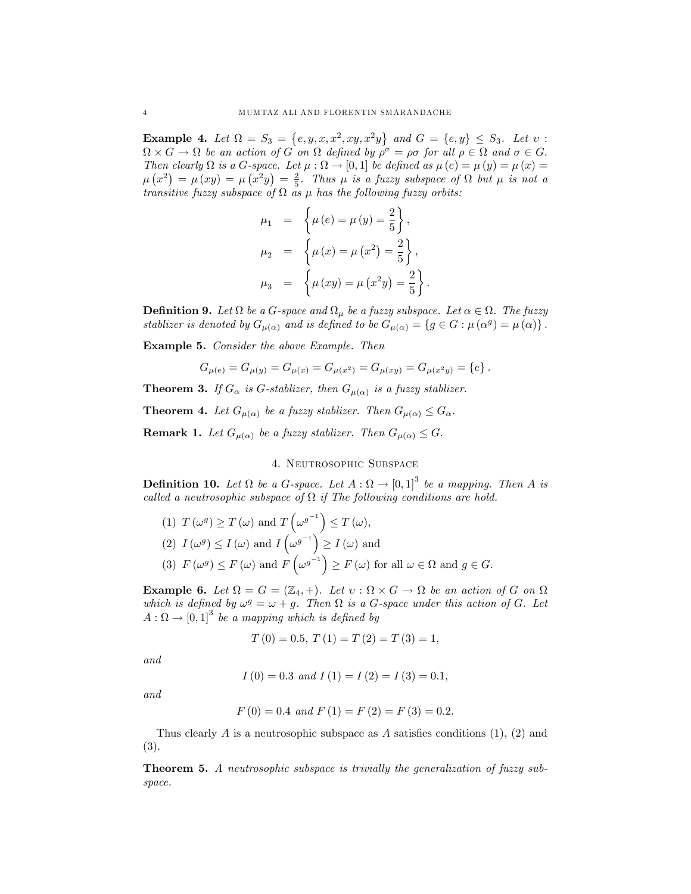**Example 4.** Let  $\Omega = S_3 = \{e, y, x, x^2, xy, x^2y\}$  and  $G = \{e, y\} \leq S_3$ . Let  $v$ .  $\Omega \times G \to \Omega$  be an action of G on  $\Omega$  defined by  $\rho^{\sigma} = \rho \sigma$  for all  $\rho \in \Omega$  and  $\sigma \in G$ . Then clearly  $\Omega$  is a G-space. Let  $\mu : \Omega \to [0,1]$  be defined as  $\mu(e) = \mu(y) = \mu(x) =$  $\mu(x^2) = \mu(xy) = \mu(x^2y) = \frac{2}{5}$ . Thus  $\mu$  is a fuzzy subspace of  $\Omega$  but  $\mu$  is not a transitive fuzzy subspace of  $\Omega$  as  $\mu$  has the following fuzzy orbits:

$$
\mu_1 = \left\{ \mu(e) = \mu(y) = \frac{2}{5} \right\}, \n\mu_2 = \left\{ \mu(x) = \mu(x^2) = \frac{2}{5} \right\}, \n\mu_3 = \left\{ \mu(xy) = \mu(x^2y) = \frac{2}{5} \right\}.
$$

**Definition 9.** Let  $\Omega$  be a G-space and  $\Omega_{\mu}$  be a fuzzy subspace. Let  $\alpha \in \Omega$ . The fuzzy stablizer is denoted by  $G_{\mu(\alpha)}$  and is defined to be  $G_{\mu(\alpha)} = \{g \in G : \mu(\alpha^g) = \mu(\alpha)\}\.$ 

Example 5. Consider the above Example. Then

$$
G_{\mu(e)} = G_{\mu(y)} = G_{\mu(x)} = G_{\mu(x^2)} = G_{\mu(xy)} = G_{\mu(x^2y)} = \{e\}.
$$

**Theorem 3.** If  $G_{\alpha}$  is G-stablizer, then  $G_{\mu(\alpha)}$  is a fuzzy stablizer.

**Theorem 4.** Let  $G_{\mu(\alpha)}$  be a fuzzy stablizer. Then  $G_{\mu(\alpha)} \leq G_{\alpha}$ .

**Remark 1.** Let  $G_{\mu(\alpha)}$  be a fuzzy stablizer. Then  $G_{\mu(\alpha)} \leq G$ .

## 4. Neutrosophic Subspace

**Definition 10.** Let  $\Omega$  be a G-space. Let  $A : \Omega \to [0,1]^3$  be a mapping. Then A is called a neutrosophic subspace of  $\Omega$  if The following conditions are hold.

(1) 
$$
T(\omega^g) \ge T(\omega)
$$
 and  $T(\omega^{g^{-1}}) \le T(\omega)$ ,  
\n(2)  $I(\omega^g) \le I(\omega)$  and  $I(\omega^{g^{-1}}) \ge I(\omega)$  and  
\n(3)  $F(\omega^g) \le F(\omega)$  and  $F(\omega^{g^{-1}}) \ge F(\omega)$  for all  $\omega \in \Omega$  and  $g \in G$ .

**Example 6.** Let  $\Omega = G = (\mathbb{Z}_4, +)$ . Let  $v : \Omega \times G \to \Omega$  be an action of G on  $\Omega$ which is defined by  $\omega^g = \omega + g$ . Then  $\Omega$  is a G-space under this action of G. Let  $A: \Omega \to [0,1]^3$  be a mapping which is defined by

$$
T(0) = 0.5, T(1) = T(2) = T(3) = 1,
$$

and

$$
I(0) = 0.3 \text{ and } I(1) = I(2) = I(3) = 0.1,
$$

and

$$
F(0) = 0.4
$$
 and  $F(1) = F(2) = F(3) = 0.2$ .

Thus clearly A is a neutrosophic subspace as A satisfies conditions  $(1)$ ,  $(2)$  and (3).

Theorem 5. A neutrosophic subspace is trivially the generalization of fuzzy subspace.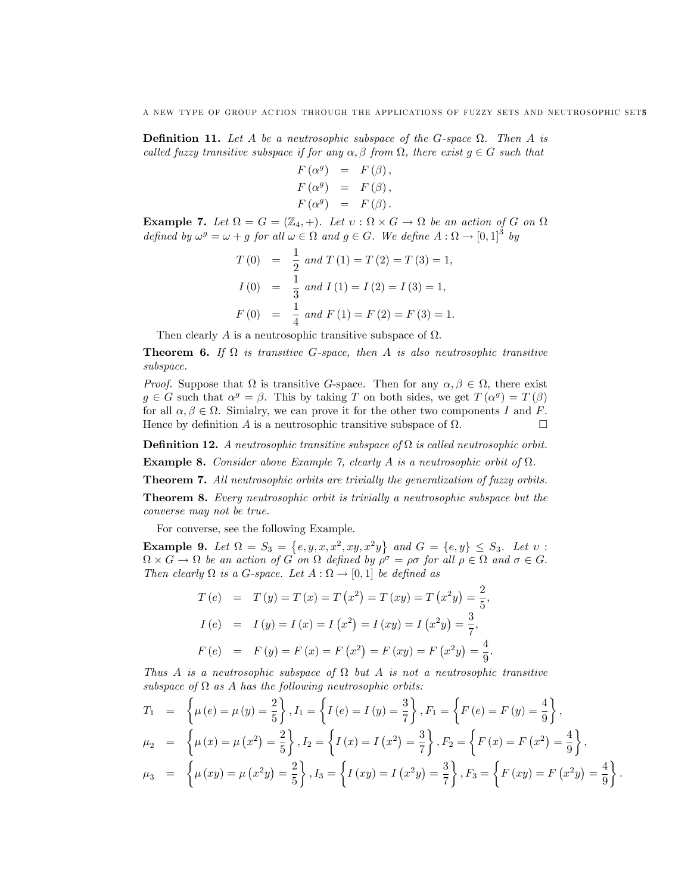**Definition 11.** Let A be a neutrosophic subspace of the G-space  $\Omega$ . Then A is called fuzzy transitive subspace if for any  $\alpha, \beta$  from  $\Omega$ , there exist  $g \in G$  such that

$$
F(\alpha^{g}) = F(\beta),
$$
  
\n
$$
F(\alpha^{g}) = F(\beta),
$$
  
\n
$$
F(\alpha^{g}) = F(\beta).
$$

**Example 7.** Let  $\Omega = G = (\mathbb{Z}_4, +)$ . Let  $v : \Omega \times G \to \Omega$  be an action of G on  $\Omega$ defined by  $\omega^g = \omega + g$  for all  $\omega \in \Omega$  and  $g \in G$ . We define  $A : \Omega \to [0,1]^3$  by

$$
T(0) = \frac{1}{2} and T(1) = T(2) = T(3) = 1,
$$
  
\n
$$
I(0) = \frac{1}{3} and I(1) = I(2) = I(3) = 1,
$$
  
\n
$$
F(0) = \frac{1}{4} and F(1) = F(2) = F(3) = 1.
$$

Then clearly A is a neutrosophic transitive subspace of  $\Omega$ .

**Theorem 6.** If  $\Omega$  is transitive G-space, then A is also neutrosophic transitive subspace.

*Proof.* Suppose that  $\Omega$  is transitive G-space. Then for any  $\alpha, \beta \in \Omega$ , there exist  $g \in G$  such that  $\alpha^g = \beta$ . This by taking T on both sides, we get  $T(\alpha^g) = T(\beta)$ for all  $\alpha, \beta \in \Omega$ . Simialry, we can prove it for the other two components I and F. Hence by definition A is a neutrosophic transitive subspace of  $\Omega$ . . — Первой производите и производите с производите и производите и производите и производите и производите и п<br>В применение и производите и производите производите и производите и производите и производите и применение и<br>

**Definition 12.** A neutrosophic transitive subspace of  $\Omega$  is called neutrosophic orbit.

**Example 8.** Consider above Example 7, clearly A is a neutrosophic orbit of  $\Omega$ .

Theorem 7. All neutrosophic orbits are trivially the generalization of fuzzy orbits.

Theorem 8. Every neutrosophic orbit is trivially a neutrosophic subspace but the converse may not be true.

For converse, see the following Example.

**Example 9.** Let  $\Omega = S_3 = \{e, y, x, x^2, xy, x^2y\}$  and  $G = \{e, y\} \leq S_3$ . Let  $v$ .  $\Omega \times G \to \Omega$  be an action of G on  $\Omega$  defined by  $\rho^{\sigma} = \rho \sigma$  for all  $\rho \in \Omega$  and  $\sigma \in G$ . Then clearly  $\Omega$  is a G-space. Let  $A : \Omega \to [0,1]$  be defined as

$$
T(e) = T(y) = T(x) = T(x^2) = T(xy) = T(x^2y) = \frac{2}{5},
$$
  
\n
$$
I(e) = I(y) = I(x) = I(x^2) = I(xy) = I(x^2y) = \frac{3}{7},
$$
  
\n
$$
F(e) = F(y) = F(x) = F(x^2) = F(xy) = F(x^2y) = \frac{4}{9}.
$$

Thus A is a neutrosophic subspace of  $\Omega$  but A is not a neutrosophic transitive subspace of  $\Omega$  as A has the following neutrosophic orbits:

$$
T_1 = \left\{ \mu(e) = \mu(y) = \frac{2}{5} \right\}, I_1 = \left\{ I(e) = I(y) = \frac{3}{7} \right\}, F_1 = \left\{ F(e) = F(y) = \frac{4}{9} \right\},
$$
  
\n
$$
\mu_2 = \left\{ \mu(x) = \mu(x^2) = \frac{2}{5} \right\}, I_2 = \left\{ I(x) = I(x^2) = \frac{3}{7} \right\}, F_2 = \left\{ F(x) = F(x^2) = \frac{4}{9} \right\},
$$
  
\n
$$
\mu_3 = \left\{ \mu(xy) = \mu(x^2y) = \frac{2}{5} \right\}, I_3 = \left\{ I(xy) = I(x^2y) = \frac{3}{7} \right\}, F_3 = \left\{ F(xy) = F(x^2y) = \frac{4}{9} \right\}
$$

: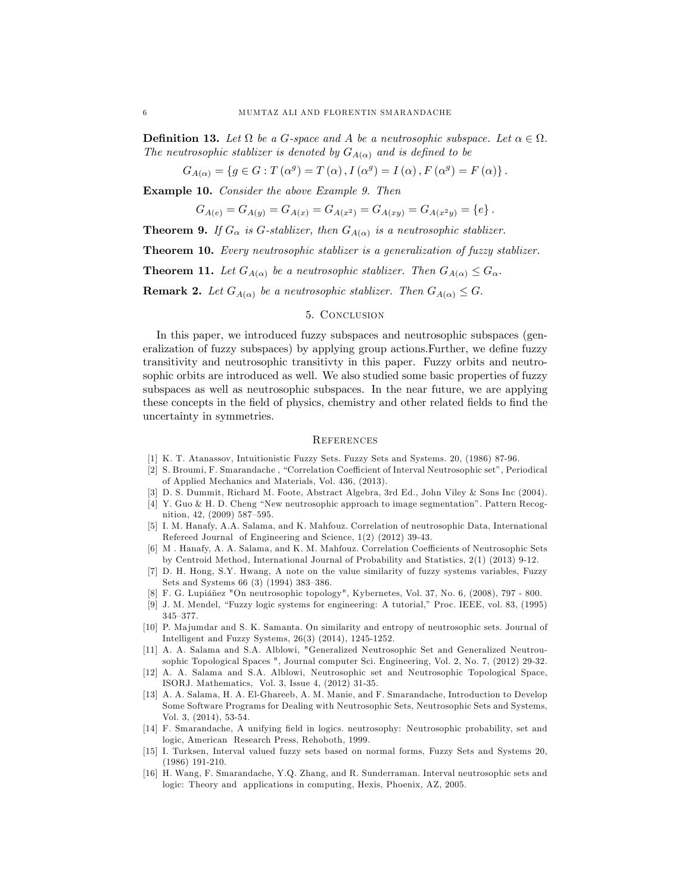**Definition 13.** Let  $\Omega$  be a G-space and A be a neutrosophic subspace. Let  $\alpha \in \Omega$ . The neutrosophic stablizer is denoted by  $G_{A(\alpha)}$  and is defined to be

 $G_{A(\alpha)} = \{ g \in G : T(\alpha^g) = T(\alpha) , I(\alpha^g) = I(\alpha) , F(\alpha^g) = F(\alpha) \}.$ 

Example 10. Consider the above Example 9. Then

$$
G_{A(e)} = G_{A(y)} = G_{A(x)} = G_{A(x^2)} = G_{A(xy)} = G_{A(x^2y)} = \{e\}.
$$

**Theorem 9.** If  $G_{\alpha}$  is G-stablizer, then  $G_{A(\alpha)}$  is a neutrosophic stablizer.

Theorem 10. Every neutrosophic stablizer is a generalization of fuzzy stablizer.

**Theorem 11.** Let  $G_{A(\alpha)}$  be a neutrosophic stablizer. Then  $G_{A(\alpha)} \leq G_{\alpha}$ .

**Remark 2.** Let  $G_{A(\alpha)}$  be a neutrosophic stablizer. Then  $G_{A(\alpha)} \leq G$ .

### 5. Conclusion

In this paper, we introduced fuzzy subspaces and neutrosophic subspaces (generalization of fuzzy subspaces) by applying group actions. Further, we define fuzzy transitivity and neutrosophic transitivty in this paper. Fuzzy orbits and neutrosophic orbits are introduced as well. We also studied some basic properties of fuzzy subspaces as well as neutrosophic subspaces. In the near future, we are applying these concepts in the field of physics, chemistry and other related fields to find the uncertainty in symmetries.

## **REFERENCES**

- [1] K. T. Atanassov, Intuitionistic Fuzzy Sets. Fuzzy Sets and Systems. 20, (1986) 87-96.
- [2] S. Broumi, F. Smarandache, "Correlation Coefficient of Interval Neutrosophic set", Periodical of Applied Mechanics and Materials, Vol. 436, (2013).
- [3] D. S. Dummit, Richard M. Foote, Abstract Algebra, 3rd Ed., John Viley & Sons Inc (2004).
- $[4]$  Y. Guo & H. D. Cheng "New neutrosophic approach to image segmentation". Pattern Recognition, 42, (2009) 587–595.
- [5] I. M. Hanafy, A.A. Salama, and K. Mahfouz. Correlation of neutrosophic Data, International Refereed Journal of Engineering and Science, 1(2) (2012) 39-43.
- [6] M. Hanafy, A. A. Salama, and K. M. Mahfouz. Correlation Coefficients of Neutrosophic Sets by Centroid Method, International Journal of Probability and Statistics, 2(1) (2013) 9-12.
- [7] D. H. Hong, S.Y. Hwang, A note on the value similarity of fuzzy systems variables, Fuzzy Sets and Systems 66 (3) (1994) 383-386.
- [8] F. G. Lupiañez "On neutrosophic topology", Kybernetes, Vol. 37, No. 6, (2008), 797 800.
- [9] J. M. Mendel, "Fuzzy logic systems for engineering: A tutorial," Proc. IEEE, vol. 83, (1995)  $345 - 377.$
- [10] P. Majumdar and S. K. Samanta. On similarity and entropy of neutrosophic sets. Journal of Intelligent and Fuzzy Systems, 26(3) (2014), 1245-1252.
- [11] A. A. Salama and S.A. Alblowi, "Generalized Neutrosophic Set and Generalized Neutrousophic Topological Spaces ", Journal computer Sci. Engineering, Vol. 2, No. 7, (2012) 29-32.
- [12] A. A. Salama and S.A. Alblowi, Neutrosophic set and Neutrosophic Topological Space, ISORJ. Mathematics, Vol. 3, Issue 4, (2012) 31-35.
- [13] A. A. Salama, H. A. El-Ghareeb, A. M. Manie, and F. Smarandache, Introduction to Develop Some Software Programs for Dealing with Neutrosophic Sets, Neutrosophic Sets and Systems, Vol. 3, (2014), 53-54.
- [14] F. Smarandache, A unifying field in logics. neutrosophy: Neutrosophic probability, set and logic, American Research Press, Rehoboth, 1999.
- [15] I. Turksen, Interval valued fuzzy sets based on normal forms, Fuzzy Sets and Systems 20, (1986) 191-210.
- [16] H. Wang, F. Smarandache, Y.Q. Zhang, and R. Sunderraman. Interval neutrosophic sets and logic: Theory and applications in computing, Hexis, Phoenix, AZ, 2005.